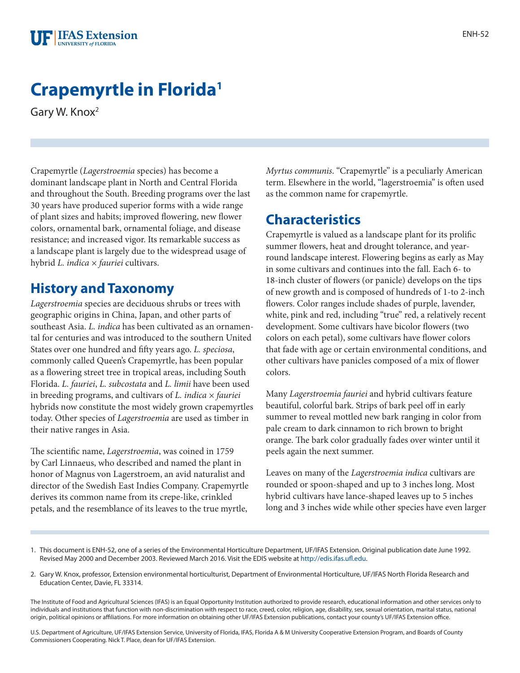

# **Crapemyrtle in Florida1**

Gary W. Knox2

Crapemyrtle (*Lagerstroemia* species) has become a dominant landscape plant in North and Central Florida and throughout the South. Breeding programs over the last 30 years have produced superior forms with a wide range of plant sizes and habits; improved flowering, new flower colors, ornamental bark, ornamental foliage, and disease resistance; and increased vigor. Its remarkable success as a landscape plant is largely due to the widespread usage of hybrid *L. indica × fauriei* cultivars.

### **History and Taxonomy**

*Lagerstroemia* species are deciduous shrubs or trees with geographic origins in China, Japan, and other parts of southeast Asia. *L. indica* has been cultivated as an ornamental for centuries and was introduced to the southern United States over one hundred and fifty years ago. *L. speciosa*, commonly called Queen's Crapemyrtle, has been popular as a flowering street tree in tropical areas, including South Florida. *L. fauriei*, *L. subcostata* and *L. limii* have been used in breeding programs, and cultivars of *L. indica × fauriei* hybrids now constitute the most widely grown crapemyrtles today. Other species of *Lagerstroemia* are used as timber in their native ranges in Asia.

The scientific name, *Lagerstroemia*, was coined in 1759 by Carl Linnaeus, who described and named the plant in honor of Magnus von Lagerstroem, an avid naturalist and director of the Swedish East Indies Company. Crapemyrtle derives its common name from its crepe-like, crinkled petals, and the resemblance of its leaves to the true myrtle,

*Myrtus communis*. "Crapemyrtle" is a peculiarly American term. Elsewhere in the world, "lagerstroemia" is often used as the common name for crapemyrtle.

### **Characteristics**

Crapemyrtle is valued as a landscape plant for its prolific summer flowers, heat and drought tolerance, and yearround landscape interest. Flowering begins as early as May in some cultivars and continues into the fall. Each 6- to 18-inch cluster of flowers (or panicle) develops on the tips of new growth and is composed of hundreds of 1-to 2-inch flowers. Color ranges include shades of purple, lavender, white, pink and red, including "true" red, a relatively recent development. Some cultivars have bicolor flowers (two colors on each petal), some cultivars have flower colors that fade with age or certain environmental conditions, and other cultivars have panicles composed of a mix of flower colors.

Many *Lagerstroemia fauriei* and hybrid cultivars feature beautiful, colorful bark. Strips of bark peel off in early summer to reveal mottled new bark ranging in color from pale cream to dark cinnamon to rich brown to bright orange. The bark color gradually fades over winter until it peels again the next summer.

Leaves on many of the *Lagerstroemia indica* cultivars are rounded or spoon-shaped and up to 3 inches long. Most hybrid cultivars have lance-shaped leaves up to 5 inches long and 3 inches wide while other species have even larger

- 1. This document is ENH-52, one of a series of the Environmental Horticulture Department, UF/IFAS Extension. Original publication date June 1992. Revised May 2000 and December 2003. Reviewed March 2016. Visit the EDIS website at<http://edis.ifas.ufl.edu>.
- 2. Gary W. Knox, professor, Extension environmental horticulturist, Department of Environmental Horticulture, UF/IFAS North Florida Research and Education Center, Davie, FL 33314.

The Institute of Food and Agricultural Sciences (IFAS) is an Equal Opportunity Institution authorized to provide research, educational information and other services only to individuals and institutions that function with non-discrimination with respect to race, creed, color, religion, age, disability, sex, sexual orientation, marital status, national origin, political opinions or affiliations. For more information on obtaining other UF/IFAS Extension publications, contact your county's UF/IFAS Extension office.

U.S. Department of Agriculture, UF/IFAS Extension Service, University of Florida, IFAS, Florida A & M University Cooperative Extension Program, and Boards of County Commissioners Cooperating. Nick T. Place, dean for UF/IFAS Extension.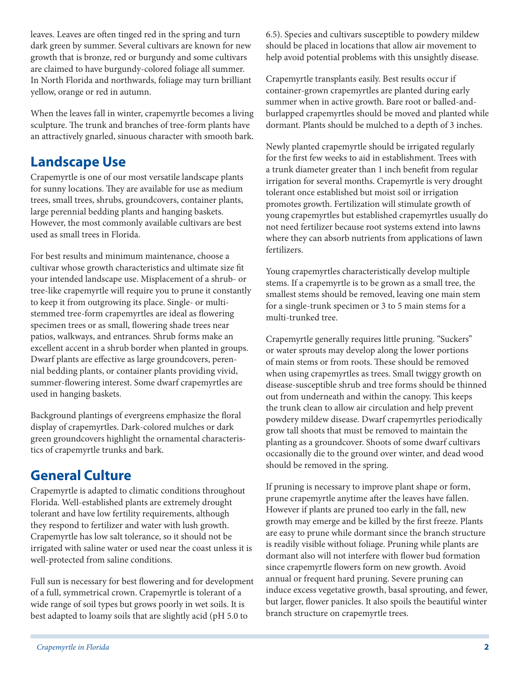leaves. Leaves are often tinged red in the spring and turn dark green by summer. Several cultivars are known for new growth that is bronze, red or burgundy and some cultivars are claimed to have burgundy-colored foliage all summer. In North Florida and northwards, foliage may turn brilliant yellow, orange or red in autumn.

When the leaves fall in winter, crapemyrtle becomes a living sculpture. The trunk and branches of tree-form plants have an attractively gnarled, sinuous character with smooth bark.

# **Landscape Use**

Crapemyrtle is one of our most versatile landscape plants for sunny locations. They are available for use as medium trees, small trees, shrubs, groundcovers, container plants, large perennial bedding plants and hanging baskets. However, the most commonly available cultivars are best used as small trees in Florida.

For best results and minimum maintenance, choose a cultivar whose growth characteristics and ultimate size fit your intended landscape use. Misplacement of a shrub- or tree-like crapemyrtle will require you to prune it constantly to keep it from outgrowing its place. Single- or multistemmed tree-form crapemyrtles are ideal as flowering specimen trees or as small, flowering shade trees near patios, walkways, and entrances. Shrub forms make an excellent accent in a shrub border when planted in groups. Dwarf plants are effective as large groundcovers, perennial bedding plants, or container plants providing vivid, summer-flowering interest. Some dwarf crapemyrtles are used in hanging baskets.

Background plantings of evergreens emphasize the floral display of crapemyrtles. Dark-colored mulches or dark green groundcovers highlight the ornamental characteristics of crapemyrtle trunks and bark.

### **General Culture**

Crapemyrtle is adapted to climatic conditions throughout Florida. Well-established plants are extremely drought tolerant and have low fertility requirements, although they respond to fertilizer and water with lush growth. Crapemyrtle has low salt tolerance, so it should not be irrigated with saline water or used near the coast unless it is well-protected from saline conditions.

Full sun is necessary for best flowering and for development of a full, symmetrical crown. Crapemyrtle is tolerant of a wide range of soil types but grows poorly in wet soils. It is best adapted to loamy soils that are slightly acid (pH 5.0 to

6.5). Species and cultivars susceptible to powdery mildew should be placed in locations that allow air movement to help avoid potential problems with this unsightly disease.

Crapemyrtle transplants easily. Best results occur if container-grown crapemyrtles are planted during early summer when in active growth. Bare root or balled-andburlapped crapemyrtles should be moved and planted while dormant. Plants should be mulched to a depth of 3 inches.

Newly planted crapemyrtle should be irrigated regularly for the first few weeks to aid in establishment. Trees with a trunk diameter greater than 1 inch benefit from regular irrigation for several months. Crapemyrtle is very drought tolerant once established but moist soil or irrigation promotes growth. Fertilization will stimulate growth of young crapemyrtles but established crapemyrtles usually do not need fertilizer because root systems extend into lawns where they can absorb nutrients from applications of lawn fertilizers.

Young crapemyrtles characteristically develop multiple stems. If a crapemyrtle is to be grown as a small tree, the smallest stems should be removed, leaving one main stem for a single-trunk specimen or 3 to 5 main stems for a multi-trunked tree.

Crapemyrtle generally requires little pruning. "Suckers" or water sprouts may develop along the lower portions of main stems or from roots. These should be removed when using crapemyrtles as trees. Small twiggy growth on disease-susceptible shrub and tree forms should be thinned out from underneath and within the canopy. This keeps the trunk clean to allow air circulation and help prevent powdery mildew disease. Dwarf crapemyrtles periodically grow tall shoots that must be removed to maintain the planting as a groundcover. Shoots of some dwarf cultivars occasionally die to the ground over winter, and dead wood should be removed in the spring.

If pruning is necessary to improve plant shape or form, prune crapemyrtle anytime after the leaves have fallen. However if plants are pruned too early in the fall, new growth may emerge and be killed by the first freeze. Plants are easy to prune while dormant since the branch structure is readily visible without foliage. Pruning while plants are dormant also will not interfere with flower bud formation since crapemyrtle flowers form on new growth. Avoid annual or frequent hard pruning. Severe pruning can induce excess vegetative growth, basal sprouting, and fewer, but larger, flower panicles. It also spoils the beautiful winter branch structure on crapemyrtle trees.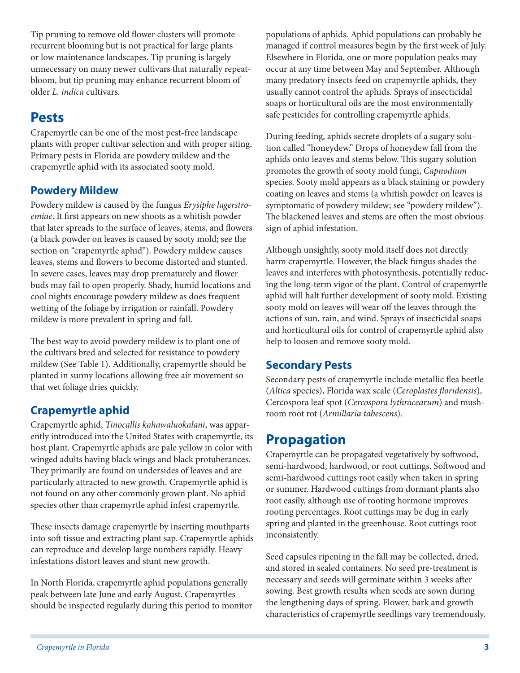Tip pruning to remove old flower clusters will promote recurrent blooming but is not practical for large plants or low maintenance landscapes. Tip pruning is largely unnecessary on many newer cultivars that naturally repeatbloom, but tip pruning may enhance recurrent bloom of older *L. indica* cultivars.

# **Pests**

Crapemyrtle can be one of the most pest-free landscape plants with proper cultivar selection and with proper siting. Primary pests in Florida are powdery mildew and the crapemyrtle aphid with its associated sooty mold.

#### **Powdery Mildew**

Powdery mildew is caused by the fungus *Erysiphe lagerstroemiae*. It first appears on new shoots as a whitish powder that later spreads to the surface of leaves, stems, and flowers (a black powder on leaves is caused by sooty mold; see the section on "crapemyrtle aphid"). Powdery mildew causes leaves, stems and flowers to become distorted and stunted. In severe cases, leaves may drop prematurely and flower buds may fail to open properly. Shady, humid locations and cool nights encourage powdery mildew as does frequent wetting of the foliage by irrigation or rainfall. Powdery mildew is more prevalent in spring and fall.

The best way to avoid powdery mildew is to plant one of the cultivars bred and selected for resistance to powdery mildew (See Table 1). Additionally, crapemyrtle should be planted in sunny locations allowing free air movement so that wet foliage dries quickly.

### **Crapemyrtle aphid**

Crapemyrtle aphid, *Tinocallis kahawaluokalani*, was apparently introduced into the United States with crapemyrtle, its host plant. Crapemyrtle aphids are pale yellow in color with winged adults having black wings and black protuberances. They primarily are found on undersides of leaves and are particularly attracted to new growth. Crapemyrtle aphid is not found on any other commonly grown plant. No aphid species other than crapemyrtle aphid infest crapemyrtle.

These insects damage crapemyrtle by inserting mouthparts into soft tissue and extracting plant sap. Crapemyrtle aphids can reproduce and develop large numbers rapidly. Heavy infestations distort leaves and stunt new growth.

In North Florida, crapemyrtle aphid populations generally peak between late June and early August. Crapemyrtles should be inspected regularly during this period to monitor populations of aphids. Aphid populations can probably be managed if control measures begin by the first week of July. Elsewhere in Florida, one or more population peaks may occur at any time between May and September. Although many predatory insects feed on crapemyrtle aphids, they usually cannot control the aphids. Sprays of insecticidal soaps or horticultural oils are the most environmentally safe pesticides for controlling crapemyrtle aphids.

During feeding, aphids secrete droplets of a sugary solution called "honeydew." Drops of honeydew fall from the aphids onto leaves and stems below. This sugary solution promotes the growth of sooty mold fungi, *Capnodium* species. Sooty mold appears as a black staining or powdery coating on leaves and stems (a whitish powder on leaves is symptomatic of powdery mildew; see "powdery mildew"). The blackened leaves and stems are often the most obvious sign of aphid infestation.

Although unsightly, sooty mold itself does not directly harm crapemyrtle. However, the black fungus shades the leaves and interferes with photosynthesis, potentially reducing the long-term vigor of the plant. Control of crapemyrtle aphid will halt further development of sooty mold. Existing sooty mold on leaves will wear off the leaves through the actions of sun, rain, and wind. Sprays of insecticidal soaps and horticultural oils for control of crapemyrtle aphid also help to loosen and remove sooty mold.

#### **Secondary Pests**

Secondary pests of crapemyrtle include metallic flea beetle (*Altica* species), Florida wax scale (*Ceroplastes floridensis*), Cercospora leaf spot (*Cercospora lythracearum*) and mushroom root rot (*Armillaria tabescens*).

# **Propagation**

Crapemyrtle can be propagated vegetatively by softwood, semi-hardwood, hardwood, or root cuttings. Softwood and semi-hardwood cuttings root easily when taken in spring or summer. Hardwood cuttings from dormant plants also root easily, although use of rooting hormone improves rooting percentages. Root cuttings may be dug in early spring and planted in the greenhouse. Root cuttings root inconsistently.

Seed capsules ripening in the fall may be collected, dried, and stored in sealed containers. No seed pre-treatment is necessary and seeds will germinate within 3 weeks after sowing. Best growth results when seeds are sown during the lengthening days of spring. Flower, bark and growth characteristics of crapemyrtle seedlings vary tremendously.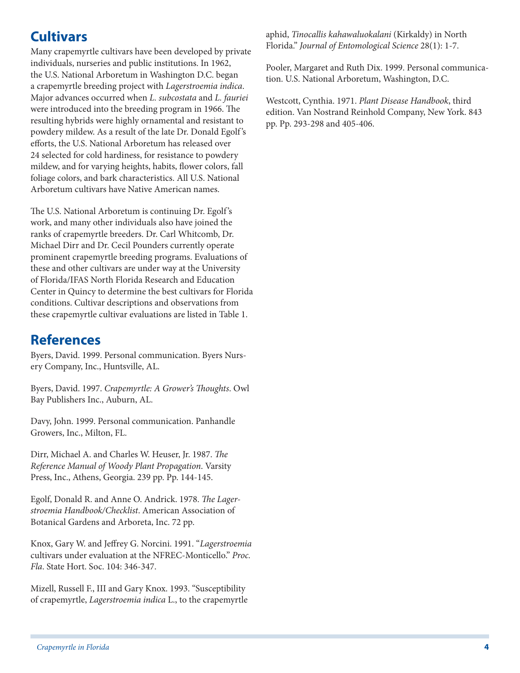# **Cultivars**

Many crapemyrtle cultivars have been developed by private individuals, nurseries and public institutions. In 1962, the U.S. National Arboretum in Washington D.C. began a crapemyrtle breeding project with *Lagerstroemia indica*. Major advances occurred when *L. subcostata* and *L. fauriei* were introduced into the breeding program in 1966. The resulting hybrids were highly ornamental and resistant to powdery mildew. As a result of the late Dr. Donald Egolf's efforts, the U.S. National Arboretum has released over 24 selected for cold hardiness, for resistance to powdery mildew, and for varying heights, habits, flower colors, fall foliage colors, and bark characteristics. All U.S. National Arboretum cultivars have Native American names.

The U.S. National Arboretum is continuing Dr. Egolf's work, and many other individuals also have joined the ranks of crapemyrtle breeders. Dr. Carl Whitcomb, Dr. Michael Dirr and Dr. Cecil Pounders currently operate prominent crapemyrtle breeding programs. Evaluations of these and other cultivars are under way at the University of Florida/IFAS North Florida Research and Education Center in Quincy to determine the best cultivars for Florida conditions. Cultivar descriptions and observations from these crapemyrtle cultivar evaluations are listed in Table 1.

### **References**

Byers, David. 1999. Personal communication. Byers Nursery Company, Inc., Huntsville, AL.

Byers, David. 1997. *Crapemyrtle: A Grower's Thoughts*. Owl Bay Publishers Inc., Auburn, AL.

Davy, John. 1999. Personal communication. Panhandle Growers, Inc., Milton, FL.

Dirr, Michael A. and Charles W. Heuser, Jr. 1987. *The Reference Manual of Woody Plant Propagation*. Varsity Press, Inc., Athens, Georgia. 239 pp. Pp. 144-145.

Egolf, Donald R. and Anne O. Andrick. 1978. *The Lagerstroemia Handbook/Checklist*. American Association of Botanical Gardens and Arboreta, Inc. 72 pp.

Knox, Gary W. and Jeffrey G. Norcini. 1991. "*Lagerstroemia* cultivars under evaluation at the NFREC-Monticello." *Proc. Fla*. State Hort. Soc. 104: 346-347.

Mizell, Russell F., III and Gary Knox. 1993. "Susceptibility of crapemyrtle, *Lagerstroemia indica* L., to the crapemyrtle aphid, *Tinocallis kahawaluokalani* (Kirkaldy) in North Florida." *Journal of Entomological Science* 28(1): 1-7.

Pooler, Margaret and Ruth Dix. 1999. Personal communication. U.S. National Arboretum, Washington, D.C.

Westcott, Cynthia. 1971. *Plant Disease Handbook*, third edition. Van Nostrand Reinhold Company, New York. 843 pp. Pp. 293-298 and 405-406.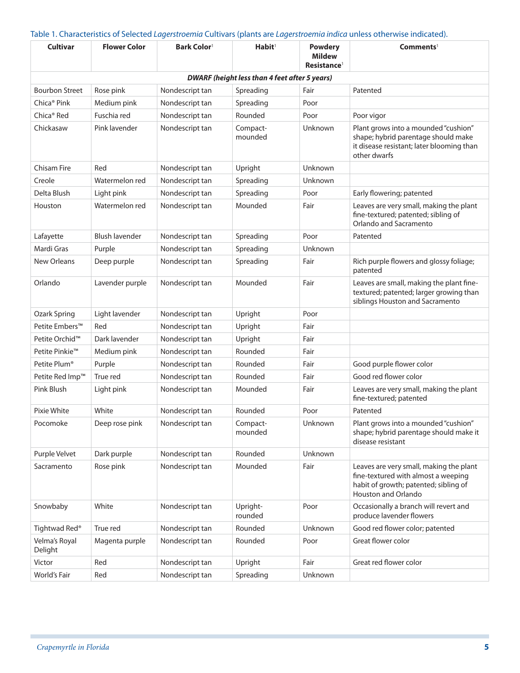| <b>Cultivar</b>            | <b>Flower Color</b>   | <b>Bark Color</b> <sup>1</sup> | $H$ abit <sup>1</sup>                                | <b>Powdery</b><br><b>Mildew</b><br>Resistance <sup>1</sup> | Comments <sup>1</sup>                                                                                                                                 |
|----------------------------|-----------------------|--------------------------------|------------------------------------------------------|------------------------------------------------------------|-------------------------------------------------------------------------------------------------------------------------------------------------------|
|                            |                       |                                | <b>DWARF (height less than 4 feet after 5 years)</b> |                                                            |                                                                                                                                                       |
| <b>Bourbon Street</b>      | Rose pink             | Nondescript tan                | Spreading                                            | Fair                                                       | Patented                                                                                                                                              |
| Chica <sup>®</sup> Pink    | Medium pink           | Nondescript tan                | Spreading                                            | Poor                                                       |                                                                                                                                                       |
| Chica <sup>®</sup> Red     | Fuschia red           | Nondescript tan                | Rounded                                              | Poor                                                       | Poor vigor                                                                                                                                            |
| Chickasaw                  | Pink lavender         | Nondescript tan                | Compact-<br>mounded                                  | Unknown                                                    | Plant grows into a mounded "cushion"<br>shape; hybrid parentage should make<br>it disease resistant; later blooming than<br>other dwarfs              |
| <b>Chisam Fire</b>         | Red                   | Nondescript tan                | Upright                                              | Unknown                                                    |                                                                                                                                                       |
| Creole                     | Watermelon red        | Nondescript tan                | Spreading                                            | Unknown                                                    |                                                                                                                                                       |
| Delta Blush                | Light pink            | Nondescript tan                | Spreading                                            | Poor                                                       | Early flowering; patented                                                                                                                             |
| Houston                    | Watermelon red        | Nondescript tan                | Mounded                                              | Fair                                                       | Leaves are very small, making the plant<br>fine-textured; patented; sibling of<br>Orlando and Sacramento                                              |
| Lafayette                  | <b>Blush lavender</b> | Nondescript tan                | Spreading                                            | Poor                                                       | Patented                                                                                                                                              |
| Mardi Gras                 | Purple                | Nondescript tan                | Spreading                                            | Unknown                                                    |                                                                                                                                                       |
| <b>New Orleans</b>         | Deep purple           | Nondescript tan                | Spreading                                            | Fair                                                       | Rich purple flowers and glossy foliage;<br>patented                                                                                                   |
| Orlando                    | Lavender purple       | Nondescript tan                | Mounded                                              | Fair                                                       | Leaves are small, making the plant fine-<br>textured; patented; larger growing than<br>siblings Houston and Sacramento                                |
| Ozark Spring               | Light lavender        | Nondescript tan                | Upright                                              | Poor                                                       |                                                                                                                                                       |
| Petite Embers™             | Red                   | Nondescript tan                | Upright                                              | Fair                                                       |                                                                                                                                                       |
| Petite Orchid <sup>™</sup> | Dark lavender         | Nondescript tan                | Upright                                              | Fair                                                       |                                                                                                                                                       |
| Petite Pinkie <sup>™</sup> | Medium pink           | Nondescript tan                | Rounded                                              | Fair                                                       |                                                                                                                                                       |
| Petite Plum <sup>®</sup>   | Purple                | Nondescript tan                | Rounded                                              | Fair                                                       | Good purple flower color                                                                                                                              |
| Petite Red Imp™            | True red              | Nondescript tan                | Rounded                                              | Fair                                                       | Good red flower color                                                                                                                                 |
| Pink Blush                 | Light pink            | Nondescript tan                | Mounded                                              | Fair                                                       | Leaves are very small, making the plant<br>fine-textured; patented                                                                                    |
| Pixie White                | White                 | Nondescript tan                | Rounded                                              | Poor                                                       | Patented                                                                                                                                              |
| Pocomoke                   | Deep rose pink        | Nondescript tan                | Compact-<br>mounded                                  | Unknown                                                    | Plant grows into a mounded "cushion"<br>shape; hybrid parentage should make it<br>disease resistant                                                   |
| Purple Velvet              | Dark purple           | Nondescript tan                | Rounded                                              | Unknown                                                    |                                                                                                                                                       |
| Sacramento                 | Rose pink             | Nondescript tan                | Mounded                                              | Fair                                                       | Leaves are very small, making the plant<br>fine-textured with almost a weeping<br>habit of growth; patented; sibling of<br><b>Houston and Orlando</b> |
| Snowbaby                   | White                 | Nondescript tan                | Upright-<br>rounded                                  | Poor                                                       | Occasionally a branch will revert and<br>produce lavender flowers                                                                                     |
| Tightwad Red®              | True red              | Nondescript tan                | Rounded                                              | Unknown                                                    | Good red flower color; patented                                                                                                                       |
| Velma's Royal<br>Delight   | Magenta purple        | Nondescript tan                | Rounded                                              | Poor                                                       | Great flower color                                                                                                                                    |
| Victor                     | Red                   | Nondescript tan                | Upright                                              | Fair                                                       | Great red flower color                                                                                                                                |
| World's Fair               | Red                   | Nondescript tan                | Spreading                                            | Unknown                                                    |                                                                                                                                                       |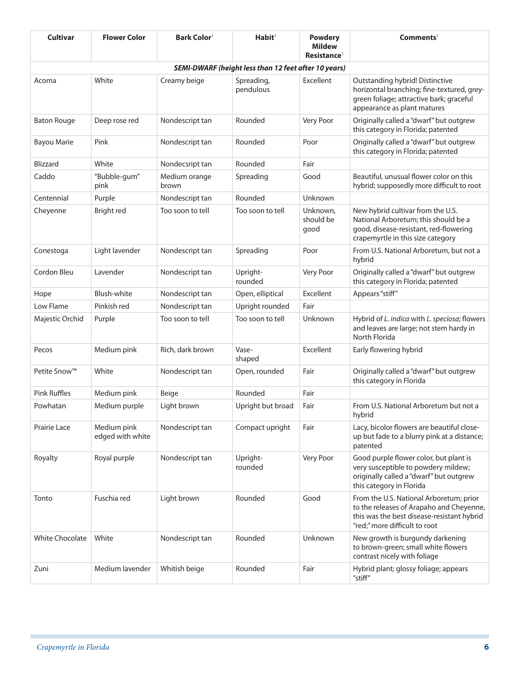| <b>Cultivar</b>                                             | <b>Flower Color</b>             | <b>Bark Color</b>      | Habit <sup>1</sup>      | <b>Powdery</b><br><b>Mildew</b><br>Resistance <sup>1</sup> | Comments <sup>1</sup>                                                                                                                                              |  |  |
|-------------------------------------------------------------|---------------------------------|------------------------|-------------------------|------------------------------------------------------------|--------------------------------------------------------------------------------------------------------------------------------------------------------------------|--|--|
| <b>SEMI-DWARF (height less than 12 feet after 10 years)</b> |                                 |                        |                         |                                                            |                                                                                                                                                                    |  |  |
| Acoma                                                       | White                           | Creamy beige           | Spreading,<br>pendulous | Excellent                                                  | Outstanding hybrid! Distinctive<br>horizontal branching; fine-textured, grey-<br>green foliage; attractive bark; graceful<br>appearance as plant matures           |  |  |
| <b>Baton Rouge</b>                                          | Deep rose red                   | Nondescript tan        | Rounded                 | Very Poor                                                  | Originally called a "dwarf" but outgrew<br>this category in Florida; patented                                                                                      |  |  |
| <b>Bayou Marie</b>                                          | Pink                            | Nondescript tan        | Rounded                 | Poor                                                       | Originally called a "dwarf" but outgrew<br>this category in Florida; patented                                                                                      |  |  |
| <b>Blizzard</b>                                             | White                           | Nondecsript tan        | Rounded                 | Fair                                                       |                                                                                                                                                                    |  |  |
| Caddo                                                       | "Bubble-gum"<br>pink            | Medium orange<br>brown | Spreading               | Good                                                       | Beautiful, unusual flower color on this<br>hybrid; supposedly more difficult to root                                                                               |  |  |
| Centennial                                                  | Purple                          | Nondescript tan        | Rounded                 | Unknown                                                    |                                                                                                                                                                    |  |  |
| Cheyenne                                                    | Bright red                      | Too soon to tell       | Too soon to tell        | Unknown,<br>should be<br>good                              | New hybrid cultivar from the U.S.<br>National Arboretum; this should be a<br>good, disease-resistant, red-flowering<br>crapemyrtle in this size category           |  |  |
| Conestoga                                                   | Light lavender                  | Nondescript tan        | Spreading               | Poor                                                       | From U.S. National Arboretum, but not a<br>hybrid                                                                                                                  |  |  |
| Cordon Bleu                                                 | Lavender                        | Nondescript tan        | Upright-<br>rounded     | Very Poor                                                  | Originally called a "dwarf" but outgrew<br>this category in Florida; patented                                                                                      |  |  |
| Hope                                                        | Blush-white                     | Nondescript tan        | Open, elliptical        | Excellent                                                  | Appears "stiff"                                                                                                                                                    |  |  |
| Low Flame                                                   | Pinkish red                     | Nondescript tan        | Upright rounded         | Fair                                                       |                                                                                                                                                                    |  |  |
| Majestic Orchid                                             | Purple                          | Too soon to tell       | Too soon to tell        | Unknown                                                    | Hybrid of L. indica with L. speciosa; flowers<br>and leaves are large; not stem hardy in<br>North Florida                                                          |  |  |
| Pecos                                                       | Medium pink                     | Rich, dark brown       | Vase-<br>shaped         | Excellent                                                  | Early flowering hybrid                                                                                                                                             |  |  |
| Petite Snow™                                                | White                           | Nondescript tan        | Open, rounded           | Fair                                                       | Originally called a "dwarf" but outgrew<br>this category in Florida                                                                                                |  |  |
| <b>Pink Ruffles</b>                                         | Medium pink                     | Beige                  | Rounded                 | Fair                                                       |                                                                                                                                                                    |  |  |
| Powhatan                                                    | Medium purple                   | Light brown            | Upright but broad       | Fair                                                       | From U.S. National Arboretum but not a<br>hybrid                                                                                                                   |  |  |
| Prairie Lace                                                | Medium pink<br>edged with white | Nondescript tan        | Compact upright         | Fair                                                       | Lacy, bicolor flowers are beautiful close-<br>up but fade to a blurry pink at a distance;<br>patented                                                              |  |  |
| Royalty                                                     | Royal purple                    | Nondescript tan        | Upright-<br>rounded     | Very Poor                                                  | Good purple flower color, but plant is<br>very susceptible to powdery mildew;<br>originally called a "dwarf" but outgrew<br>this category in Florida               |  |  |
| Tonto                                                       | Fuschia red                     | Light brown            | Rounded                 | Good                                                       | From the U.S. National Arboretum; prior<br>to the releases of Arapaho and Cheyenne,<br>this was the best disease-resistant hybrid<br>"red;" more difficult to root |  |  |
| <b>White Chocolate</b>                                      | White                           | Nondescript tan        | Rounded                 | Unknown                                                    | New growth is burgundy darkening<br>to brown-green; small white flowers<br>contrast nicely with foliage                                                            |  |  |
| Zuni                                                        | Medium lavender                 | Whitish beige          | Rounded                 | Fair                                                       | Hybrid plant; glossy foliage; appears<br>"stiff"                                                                                                                   |  |  |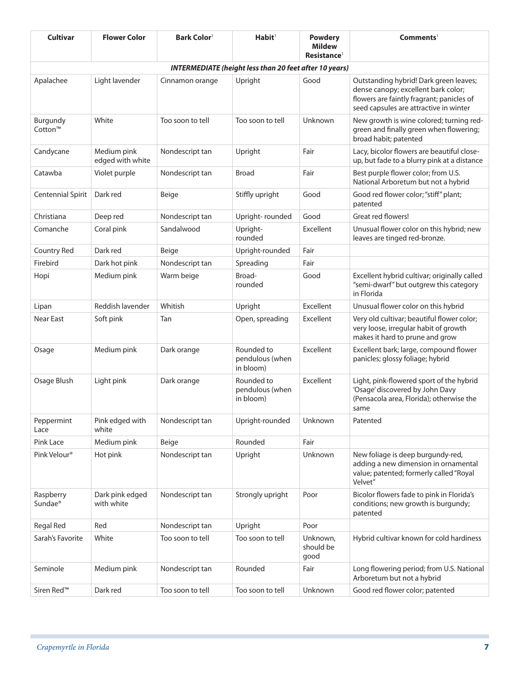| Cultivar                                                      | <b>Flower Color</b>             | <b>Bark Color</b> | Habit <sup>1</sup>                         | <b>Powdery</b><br><b>Mildew</b><br>Resistance <sup>1</sup> | Comments <sup>1</sup>                                                                                                                                                |  |  |
|---------------------------------------------------------------|---------------------------------|-------------------|--------------------------------------------|------------------------------------------------------------|----------------------------------------------------------------------------------------------------------------------------------------------------------------------|--|--|
| <b>INTERMEDIATE (height less than 20 feet after 10 years)</b> |                                 |                   |                                            |                                                            |                                                                                                                                                                      |  |  |
| Apalachee                                                     | Light lavender                  | Cinnamon orange   | Upright                                    | Good                                                       | Outstanding hybrid! Dark green leaves;<br>dense canopy; excellent bark color;<br>flowers are faintly fragrant; panicles of<br>seed capsules are attractive in winter |  |  |
| Burgundy<br>Cotton™                                           | White                           | Too soon to tell  | Too soon to tell                           | Unknown                                                    | New growth is wine colored; turning red-<br>green and finally green when flowering;<br>broad habit; patented                                                         |  |  |
| Candycane                                                     | Medium pink<br>edged with white | Nondescript tan   | Upright                                    | Fair                                                       | Lacy, bicolor flowers are beautiful close-<br>up, but fade to a blurry pink at a distance                                                                            |  |  |
| Catawba                                                       | Violet purple                   | Nondescript tan   | <b>Broad</b>                               | Fair                                                       | Best purple flower color; from U.S.<br>National Arboretum but not a hybrid                                                                                           |  |  |
| Centennial Spirit                                             | Dark red                        | Beige             | Stiffly upright                            | Good                                                       | Good red flower color; "stiff" plant;<br>patented                                                                                                                    |  |  |
| Christiana                                                    | Deep red                        | Nondescript tan   | Upright-rounded                            | Good                                                       | Great red flowers!                                                                                                                                                   |  |  |
| Comanche                                                      | Coral pink                      | Sandalwood        | Upright-<br>rounded                        | Excellent                                                  | Unusual flower color on this hybrid; new<br>leaves are tinged red-bronze.                                                                                            |  |  |
| Country Red                                                   | Dark red                        | Beige             | Upright-rounded                            | Fair                                                       |                                                                                                                                                                      |  |  |
| Firebird                                                      | Dark hot pink                   | Nondescript tan   | Spreading                                  | Fair                                                       |                                                                                                                                                                      |  |  |
| Hopi                                                          | Medium pink                     | Warm beige        | Broad-<br>rounded                          | Good                                                       | Excellent hybrid cultivar; originally called<br>"semi-dwarf" but outgrew this category<br>in Florida                                                                 |  |  |
| Lipan                                                         | Reddish lavender                | Whitish           | Upright                                    | Excellent                                                  | Unusual flower color on this hybrid                                                                                                                                  |  |  |
| Near East                                                     | Soft pink                       | Tan               | Open, spreading                            | Excellent                                                  | Very old cultivar; beautiful flower color;<br>very loose, irregular habit of growth<br>makes it hard to prune and grow                                               |  |  |
| Osage                                                         | Medium pink                     | Dark orange       | Rounded to<br>pendulous (when<br>in bloom) | Excellent                                                  | Excellent bark; large, compound flower<br>panicles; glossy foliage; hybrid                                                                                           |  |  |
| Osage Blush                                                   | Light pink                      | Dark orange       | Rounded to<br>pendulous (when<br>in bloom) | Excellent                                                  | Light, pink-flowered sport of the hybrid<br>'Osage' discovered by John Davy<br>(Pensacola area, Florida); otherwise the<br>same                                      |  |  |
| Peppermint<br>Lace                                            | Pink edged with<br>white        | Nondescript tan   | Upright-rounded                            | Unknown                                                    | Patented                                                                                                                                                             |  |  |
| Pink Lace                                                     | Medium pink                     | Beige             | Rounded                                    | Fair                                                       |                                                                                                                                                                      |  |  |
| Pink Velour <sup>®</sup>                                      | Hot pink                        | Nondescript tan   | Upright                                    | Unknown                                                    | New foliage is deep burgundy-red,<br>adding a new dimension in ornamental<br>value; patented; formerly called "Royal<br>Velvet"                                      |  |  |
| Raspberry<br>Sundae <sup>®</sup>                              | Dark pink edged<br>with white   | Nondescript tan   | Strongly upright                           | Poor                                                       | Bicolor flowers fade to pink in Florida's<br>conditions; new growth is burgundy;<br>patented                                                                         |  |  |
| <b>Regal Red</b>                                              | Red                             | Nondescript tan   | Upright                                    | Poor                                                       |                                                                                                                                                                      |  |  |
| Sarah's Favorite                                              | White                           | Too soon to tell  | Too soon to tell                           | Unknown,<br>should be<br>good                              | Hybrid cultivar known for cold hardiness                                                                                                                             |  |  |
| Seminole                                                      | Medium pink                     | Nondescript tan   | Rounded                                    | Fair                                                       | Long flowering period; from U.S. National<br>Arboretum but not a hybrid                                                                                              |  |  |
| Siren Red <sup>™</sup>                                        | Dark red                        | Too soon to tell  | Too soon to tell                           | Unknown                                                    | Good red flower color; patented                                                                                                                                      |  |  |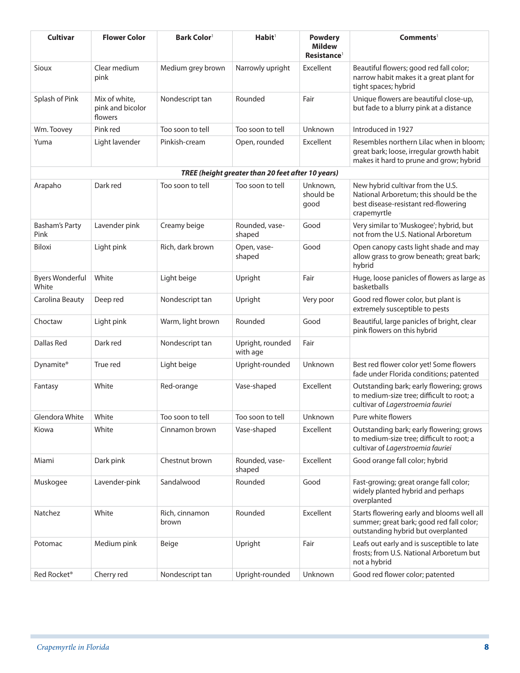| Cultivar                        | <b>Flower Color</b>                          | <b>Bark Color</b>       | Habit <sup>1</sup>                                | <b>Powdery</b><br><b>Mildew</b><br>Resistance <sup>1</sup> | Comments <sup>1</sup>                                                                                                              |
|---------------------------------|----------------------------------------------|-------------------------|---------------------------------------------------|------------------------------------------------------------|------------------------------------------------------------------------------------------------------------------------------------|
| Sioux                           | Clear medium<br>pink                         | Medium grey brown       | Narrowly upright                                  | Excellent                                                  | Beautiful flowers; good red fall color;<br>narrow habit makes it a great plant for<br>tight spaces; hybrid                         |
| Splash of Pink                  | Mix of white,<br>pink and bicolor<br>flowers | Nondescript tan         | Rounded                                           | Fair                                                       | Unique flowers are beautiful close-up,<br>but fade to a blurry pink at a distance                                                  |
| Wm. Toovey                      | Pink red                                     | Too soon to tell        | Too soon to tell                                  | Unknown                                                    | Introduced in 1927                                                                                                                 |
| Yuma                            | Light lavender                               | Pinkish-cream           | Open, rounded                                     | Excellent                                                  | Resembles northern Lilac when in bloom;<br>great bark; loose, irregular growth habit<br>makes it hard to prune and grow; hybrid    |
|                                 |                                              |                         | TREE (height greater than 20 feet after 10 years) |                                                            |                                                                                                                                    |
| Arapaho                         | Dark red                                     | Too soon to tell        | Too soon to tell                                  | Unknown,<br>should be<br>good                              | New hybrid cultivar from the U.S.<br>National Arboretum; this should be the<br>best disease-resistant red-flowering<br>crapemyrtle |
| <b>Basham's Party</b><br>Pink   | Lavender pink                                | Creamy beige            | Rounded, vase-<br>shaped                          | Good                                                       | Very similar to 'Muskogee'; hybrid, but<br>not from the U.S. National Arboretum                                                    |
| Biloxi                          | Light pink                                   | Rich, dark brown        | Open, vase-<br>shaped                             | Good                                                       | Open canopy casts light shade and may<br>allow grass to grow beneath; great bark;<br>hybrid                                        |
| <b>Byers Wonderful</b><br>White | White                                        | Light beige             | Upright                                           | Fair                                                       | Huge, loose panicles of flowers as large as<br>basketballs                                                                         |
| Carolina Beauty                 | Deep red                                     | Nondescript tan         | Upright                                           | Very poor                                                  | Good red flower color, but plant is<br>extremely susceptible to pests                                                              |
| Choctaw                         | Light pink                                   | Warm, light brown       | Rounded                                           | Good                                                       | Beautiful, large panicles of bright, clear<br>pink flowers on this hybrid                                                          |
| <b>Dallas Red</b>               | Dark red                                     | Nondescript tan         | Upright, rounded<br>with age                      | Fair                                                       |                                                                                                                                    |
| Dynamite®                       | True red                                     | Light beige             | Upright-rounded                                   | Unknown                                                    | Best red flower color yet! Some flowers<br>fade under Florida conditions; patented                                                 |
| Fantasy                         | White                                        | Red-orange              | Vase-shaped                                       | Excellent                                                  | Outstanding bark; early flowering; grows<br>to medium-size tree; difficult to root; a<br>cultivar of Lagerstroemia fauriei         |
| Glendora White                  | White                                        | Too soon to tell        | Too soon to tell                                  | Unknown                                                    | Pure white flowers                                                                                                                 |
| Kiowa                           | White                                        | Cinnamon brown          | Vase-shaped                                       | Excellent                                                  | Outstanding bark; early flowering; grows<br>to medium-size tree; difficult to root; a<br>cultivar of Lagerstroemia fauriei         |
| Miami                           | Dark pink                                    | Chestnut brown          | Rounded, vase-<br>shaped                          | Excellent                                                  | Good orange fall color; hybrid                                                                                                     |
| Muskogee                        | Lavender-pink                                | Sandalwood              | Rounded                                           | Good                                                       | Fast-growing; great orange fall color;<br>widely planted hybrid and perhaps<br>overplanted                                         |
| Natchez                         | White                                        | Rich, cinnamon<br>brown | Rounded                                           | Excellent                                                  | Starts flowering early and blooms well all<br>summer; great bark; good red fall color;<br>outstanding hybrid but overplanted       |
| Potomac                         | Medium pink                                  | Beige                   | Upright                                           | Fair                                                       | Leafs out early and is susceptible to late<br>frosts; from U.S. National Arboretum but<br>not a hybrid                             |
| Red Rocket <sup>®</sup>         | Cherry red                                   | Nondescript tan         | Upright-rounded                                   | Unknown                                                    | Good red flower color; patented                                                                                                    |